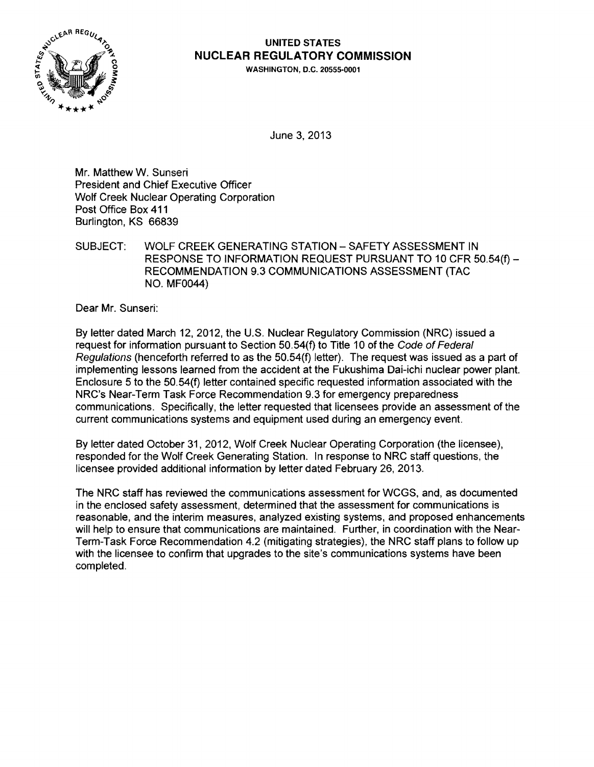

# UNITED STATES NUCLEAR REGULATORY COMMISSION

WASHINGTON, D.C. 20555-0001

June 3,2013

Mr. Matthew W. Sunseri President and Chief Executive Officer Wolf Creek Nuclear Operating Corporation Post Office Box 411 Burlington, KS 66839

SUBJECT: WOLF CREEK GENERATING STATION - SAFETY ASSESSMENT IN RESPONSE TO INFORMATION REQUEST PURSUANT TO 10 CFR 50.54(f) RECOMMENDATION 9.3 COMMUNICATIONS ASSESSMENT (TAC NO. MF0044)

Dear Mr. Sunseri:

By letter dated March 12, 2012, the U.S. Nuclear Regulatory Commission (NRC) issued a request for information pursuant to Section 50.54(f) to Title 10 of the Code of Federal Regulations (henceforth referred to as the 50.54(f) letter}. The request was issued as a part of implementing lessons learned from the accident at the Fukushima Dai-ichi nuclear power plant. Enclosure 5 to the 50.54(f) letter contained specific requested information associated with the NRC's Near-Term Task Force Recommendation 9.3 for emergency preparedness communications. Specifically, the letter requested that licensees provide an assessment of the current communications systems and equipment used during an emergency event.

By letter dated October 31,2012, Wolf Creek Nuclear Operating Corporation (the licensee), responded for the Wolf Creek Generating Station. In response to NRC staff questions, the licensee provided additional information by letter dated February 26, 2013.

The NRC staff has reviewed the communications assessment for WCGS, and, as documented in the enclosed safety assessment, determined that the assessment for communications is reasonable, and the interim measures, analyzed existing systems, and proposed enhancements will help to ensure that communications are maintained. Further, in coordination with the Near-Term-Task Force Recommendation 4.2 (mitigating strategies), the NRC staff plans to follow up with the licensee to confirm that upgrades to the site's communications systems have been completed.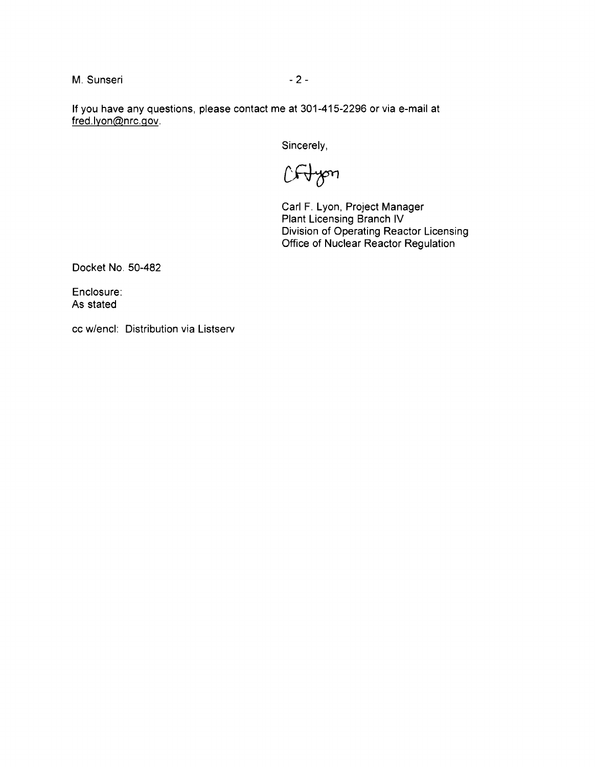M. Sunseri - 2 -

If you have any questions, please contact me at 301-415-2296 or via e-mail at fred.lyon@nrc.gov.

Sincerely,

Cftyon

Carl F. Lyon, Project Manager Plant Licensing Branch IV Division of Operating Reactor Licensing Office of Nuclear Reactor Regulation

Docket No. 50-482

Enclosure: As stated

cc w/encl: Distribution via Listserv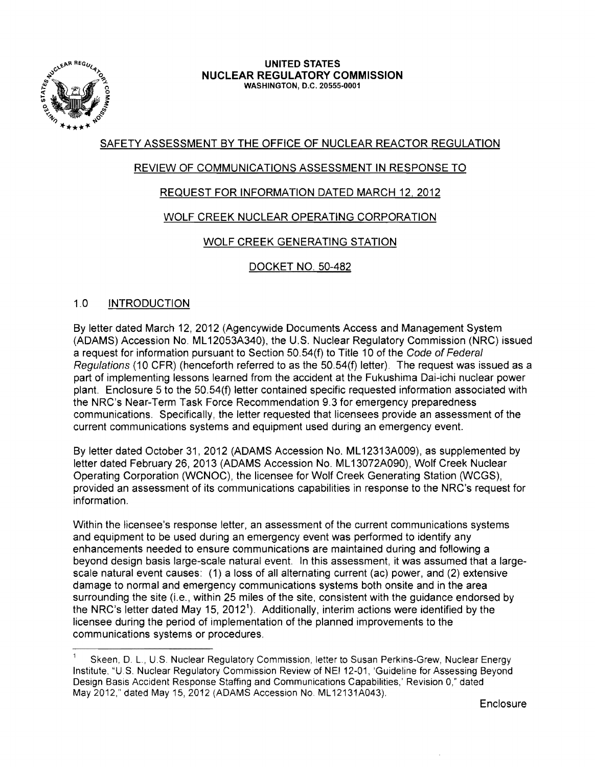

#### **UNITED STATES NUCLEAR REGULATORY COMMISSION** WASHINGTON, D.C. 20555-0001

## SAFETY ASSESSMENT BY THE OFFICE OF NUCLEAR REACTOR REGULATION

### REVIEW OF COMMUNICATIONS ASSESSMENT IN RESPONSE TO

## REQUEST FOR INFORMATION DATED MARCH 12,2012

### WOLF CREEK NUCLEAR OPERATING CORPORATION

### WOLF CREEK GENERATING STATION

DOCKET NO. SO-482

### 1.0 INTRODUCTION

By letter dated March 12, 2012 (Agencywide Documents Access and Management System (ADAMS) Accession No. ML 120S3A340), the U.S. Nuclear Regulatory Commission (NRC) issued a request for information pursuant to Section SO.S4(f) to Title 10 of the Code of Federal Regulations (10 CFR) (henceforth referred to as the SO.S4(f) letter). The request was issued as a part of implementing lessons learned from the accident at the Fukushima Dai-ichi nuclear power plant. Enclosure S to the SO.S4(f) letter contained specific requested information associated with the NRC's Near-Term Task Force Recommendation 9.3 for emergency preparedness communications. Specifically, the letter requested that licensees provide an assessment of the current communications systems and equipment used during an emergency event.

By letter dated October 31, 2012 (ADAMS Accession No. ML 12313A009), as supplemented by letter dated February 26, 2013 (ADAMS Accession No. ML13072A090), Wolf Creek Nuclear Operating Corporation (WCNOC), the licensee for Wolf Creek Generating Station (WCGS), provided an assessment of its communications capabilities in response to the NRC's request for information.

Within the licensee's response letter, an assessment of the current communications systems and equipment to be used during an emergency event was performed to identify any enhancements needed to ensure communications are maintained during and following a beyond design basis large-scale natural event. In this assessment, it was assumed that a largescale natural event causes: (1) a loss of all alternating current (ac) power, and (2) extensive damage to normal and emergency communications systems both onsite and in the area surrounding the site (i.e., within 25 miles of the site, consistent with the guidance endorsed by the NRC's letter dated May 1S, 2012'). Additionally, interim actions were identified by the licensee during the period of implementation of the planned improvements to the communications systems or procedures.

 $\mathbf{1}$ Skeen, D. L, U.S Nuclear Regulatory Commission, letter to Susan Perkins-Grew, Nuclear Energy Institute, "U.S. Nuclear Regulatory Commission Review of NEI12-01, 'Guideline for Assessing Beyond Design Basis Accident Response Staffing and Communications Capabilities,' Revision 0," dated May 2012," dated May 15, 2012 (ADAMS Accession No. ML 12131A043).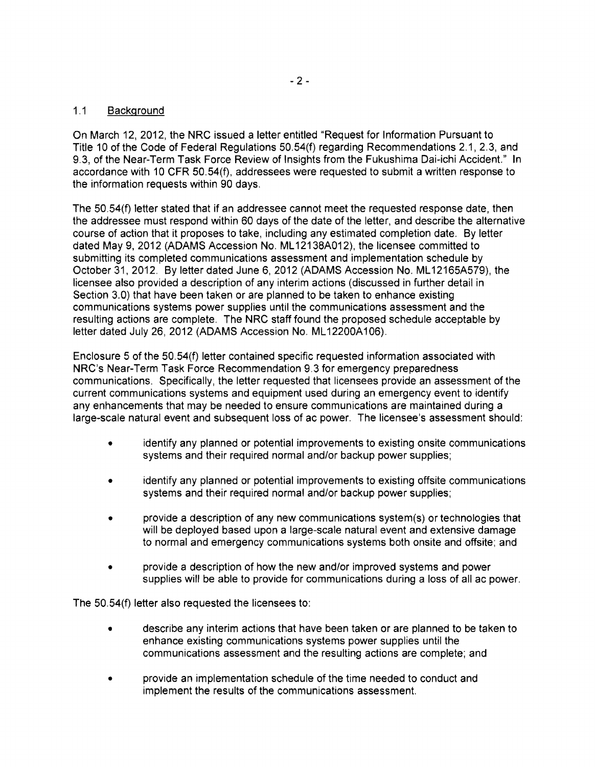#### 1.1 Background

On March 12, 2012, the NRC issued a letter entitled "Request for Information Pursuant to Title 10 of the Code of Federal Regulations SO.S4(f) regarding Recommendations 2.1, 2.3, and 9.3, of the Near-Term Task Force Review of Insights from the Fukushima Dai-ichi Accident." In accordance with 10 CFR SO.S4(f), addressees were requested to submit a written response to the information requests within 90 days.

The SO.S4(f) letter stated that if an addressee cannot meet the requested response date, then the addressee must respond within 60 days of the date of the letter, and describe the alternative course of action that it proposes to take, including any estimated completion date. By letter dated May 9, 2012 (ADAMS Accession No. ML 12138A012), the licensee committed to submitting its completed communications assessment and implementation schedule by October 31, 2012. By letter dated June 6, 2012 (ADAMS Accession No. ML12165A579), the licensee also provided a description of any interim actions (discussed in further detail in Section 3.0) that have been taken or are planned to be taken to enhance existing communications systems power supplies until the communications assessment and the resulting actions are complete. The NRC staff found the proposed schedule acceptable by letter dated July 26, 2012 (ADAMS Accession No. ML12200A106).

Enclosure S of the SO.S4(f) letter contained specific requested information associated with NRC's Near-Term Task Force Recommendation 9.3 for emergency preparedness communications. Specifically, the letter requested that licensees provide an assessment of the current communications systems and equipment used during an emergency event to identify any enhancements that may be needed to ensure communications are maintained during a large-scale natural event and subsequent loss of ac power. The licensee's assessment should:

- identify any planned or potential improvements to existing onsite communications systems and their required normal and/or backup power supplies;
- identify any planned or potential improvements to existing offsite communications systems and their required normal and/or backup power supplies;
- provide a description of any new communications system(s) or technologies that will be deployed based upon a large-scale natural event and extensive damage to normal and emergency communications systems both onsite and offsite; and
- provide a description of how the new and/or improved systems and power supplies will be able to provide for communications during a loss of all ac power.

The SO.S4(f) letter also requested the licensees to:

- describe any interim actions that have been taken or are planned to be taken to enhance existing communications systems power supplies until the communications assessment and the resulting actions are complete; and
- provide an implementation schedule of the time needed to conduct and implement the results of the communications assessment.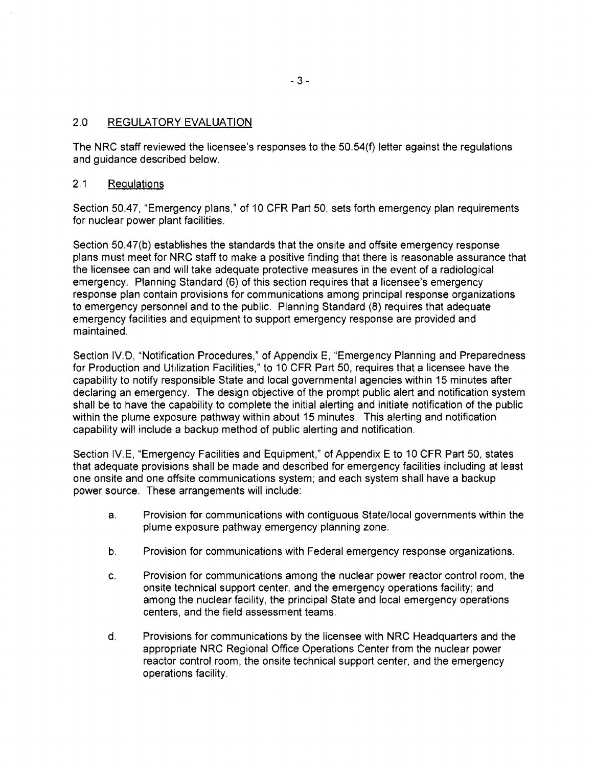#### 2.0 REGULATORY EVALUATION

The NRC staff reviewed the licensee's responses to the 50.54{f) letter against the regulations and guidance described below.

#### 2.1 Regulations

Section 50.47, "Emergency plans," of 10 CFR Part 50, sets forth emergency plan requirements for nuclear power plant facilities.

Section 50.47(b) establishes the standards that the onsite and offsite emergency response plans must meet for NRC staff to make a positive finding that there is reasonable assurance that the licensee can and will take adequate protective measures in the event of a radiological emergency. Planning Standard (6) of this section requires that a licensee's emergency response plan contain provisions for communications among principal response organizations to emergency personnel and to the public. Planning Standard (8) requires that adequate emergency facilities and equipment to support emergency response are provided and maintained.

Section IV.O, "Notification Procedures," of Appendix E, "Emergency Planning and Preparedness for Production and Utilization Facilities," to 10 CFR Part 50, requires that a licensee have the capability to notify responsible State and local governmental agencies within 15 minutes after declaring an emergency. The design objective of the prompt public alert and notification system shall be to have the capability to complete the initial alerting and initiate notification of the public within the plume exposure pathway within about 15 minutes. This alerting and notification capability will include a backup method of public alerting and notification.

Section IV.E, "Emergency Facilities and Equipment," of Appendix E to 10 CFR Part 50, states that adequate provisions shall be made and described for emergency facilities including at least one onsite and one offsite communications system; and each system shall have a backup power source. These arrangements will include:

- a. Provision for communications with contiguous State/local governments within the plume exposure pathway emergency planning zone.
- b. Provision for communications with Federal emergency response organizations.
- c. Provision for communications among the nuclear power reactor control room, the onsite technical support center, and the emergency operations facility; and among the nuclear facility, the principal State and local emergency operations centers, and the field assessment teams.
- d. Provisions for communications by the licensee with NRC Headquarters and the appropriate NRC Regional Office Operations Center from the nuclear power reactor control room, the onsite technical support center, and the emergency operations facility.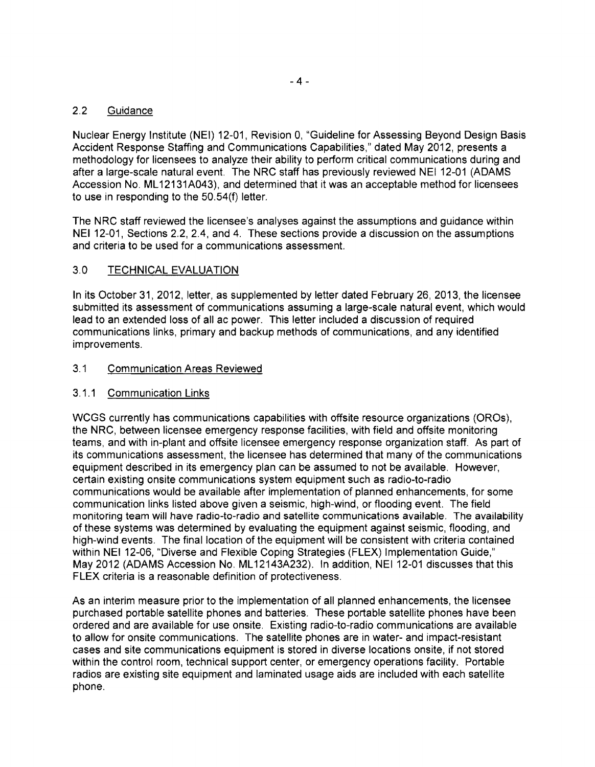### 2.2 Guidance

Nuclear Energy Institute (NEI) 12-01, Revision 0, "Guideline for Assessing Beyond Design Basis Accident Response Staffing and Communications Capabilities," dated May 2012, presents a methodology for licensees to analyze their ability to perform critical communications during and after a large-scale natural event. The NRC staff has previously reviewed NEI 12-01 (ADAMS Accession No. ML 12131A043), and determined that it was an acceptable method for licensees to use in responding to the SO.S4(f) letter.

The NRC staff reviewed the licensee's analyses against the assumptions and guidance within NEI 12-01, Sections 2.2, 2.4, and 4. These sections provide a discussion on the assumptions and criteria to be used for a communications assessment.

### 3.0 TECHNICAL EVALUATION

In its October 31,2012, letter, as supplemented by letter dated February 26,2013, the licensee submitted its assessment of communications assuming a large-scale natural event, which would lead to an extended loss of all ac power. This letter included a discussion of required communications links, primary and backup methods of communications, and any identified improvements.

#### 3.1 Communication Areas Reviewed

#### 3.1.1 Communication Links

WCGS currently has communications capabilities with offsite resource organizations (OROs), the NRC, between licensee emergency response facilities, with field and offsite monitoring teams, and with in-plant and offsite licensee emergency response organization staff. As part of its communications assessment, the licensee has determined that many of the communications equipment described in its emergency plan can be assumed to not be available. However, certain existing onsite communications system equipment such as radio-to-radio communications would be available after implementation of planned enhancements, for some communication links listed above given a seismic, high-wind, or flooding event. The field monitoring team will have radio-to-radio and satellite communications available. The availability of these systems was determined by evaluating the equipment against seismic, flooding, and high-wind events. The final location of the equipment will be consistent with criteria contained within NEI 12-06, "Diverse and Flexible Coping Strategies (FLEX) Implementation Guide," May 2012 (ADAMS Accession No. ML12143A232). In addition, NEI 12-01 discusses that this FLEX criteria is a reasonable definition of protectiveness.

As an interim measure prior to the implementation of all planned enhancements, the licensee purchased portable satellite phones and batteries. These portable satellite phones have been ordered and are available for use onsite. Existing radio-to-radio communications are available to allow for onsite communications. The satellite phones are in water- and impact-resistant cases and site communications equipment is stored in diverse locations onsite, if not stored within the control room, technical support center, or emergency operations facility. Portable radios are existing site equipment and laminated usage aids are included with each satellite phone.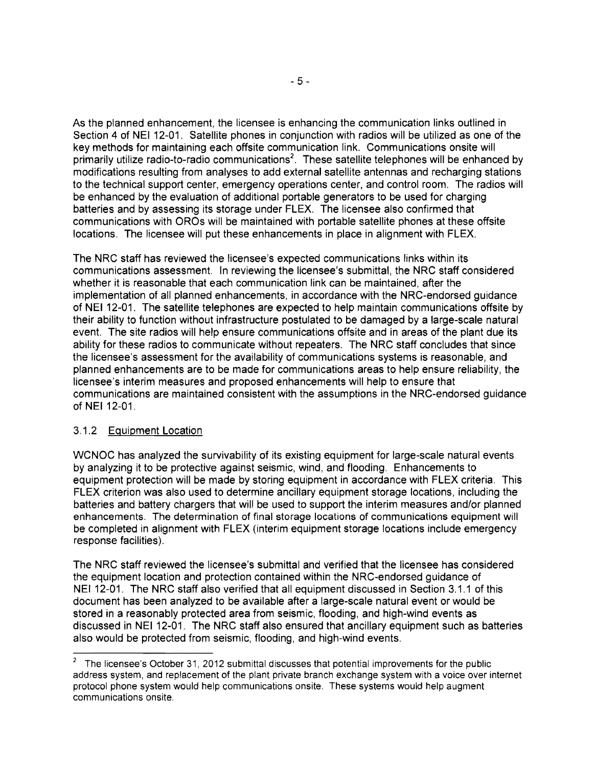As the planned enhancement, the licensee is enhancing the communication links outlined in Section 4 of NEI 12-01. Satellite phones in conjunction with radios will be utilized as one of the key methods for maintaining each offsite communication link. Communications onsite will primarily utilize radio-to-radio communications<sup>2</sup>. These satellite telephones will be enhanced by modifications resulting from analyses to add external satellite antennas and recharging stations to the technical support center, emergency operations center, and control room. The radios will be enhanced by the evaluation of additional portable generators to be used for charging batteries and by assessing its storage under FLEX. The licensee also confirmed that communications with OROs will be maintained with portable satellite phones at these offsite locations. The licensee will put these enhancements in place in alignment with FLEX.

The NRC staff has reviewed the licensee's expected communications links within its communications assessment. In reviewing the licensee's submittal, the NRC staff considered whether it is reasonable that each communication link can be maintained, after the implementation of all planned enhancements, in accordance with the NRC-endorsed guidance of NEI 12-01. The satellite telephones are expected to help maintain communications offsite by their ability to function without infrastructure postulated to be damaged by a large-scale natural event. The site radios will help ensure communications offsite and in areas of the plant due its ability for these radios to communicate without repeaters. The NRC staff concludes that since the licensee's assessment for the availability of communications systems is reasonable, and planned enhancements are to be made for communications areas to help ensure reliability, the licensee's interim measures and proposed enhancements will help to ensure that communications are maintained consistent with the assumptions in the NRC-endorsed guidance of NEI 12-01.

### 3,1.2 Equipment Location

WCNOC has analyzed the survivability of its existing equipment for large-scale natural events by analyzing it to be protective against seismic, wind, and flooding, Enhancements to equipment protection will be made by storing eqUipment in accordance with **FLEX** criteria, This **FLEX** criterion was also used to determine ancillary equipment storage locations, including the batteries and battery chargers that will be used to support the interim measures and/or planned enhancements. The determination of final storage locations of communications equipment will be completed in alignment with **FLEX** (interim equipment storage locations include emergency response facilities).

The NRC staff reviewed the licensee's submittal and verified that the licensee has considered the equipment location and protection contained within the NRC-endorsed guidance of NEI 12-01. The NRC staff also verified that all equipment discussed in Section 3.1.1 of this document has been analyzed to be available after a large-scale natural event or would be stored in a reasonably protected area from seismic, flooding, and high-wind events as discussed in NEI 12-01. The NRC staff also ensured that ancillary equipment such as batteries also would be protected from seismic, flooding, and high-wind events.

The licensee's October 31, 2012 submittal discusses that potential improvements for the public address system, and replacement of the plant private branch exchange system with a voice over internet protocol phone system would help communications onsite. These systems would help augment communications onsite. 2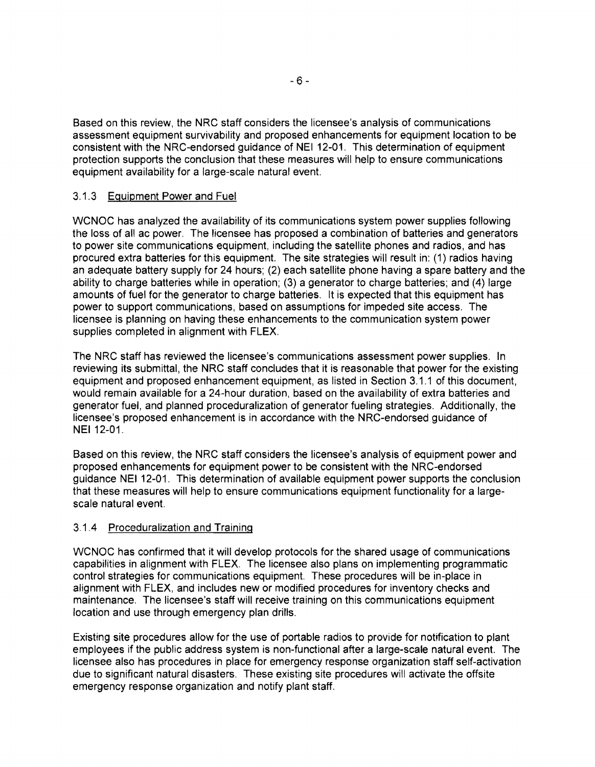Based on this review, the NRC staff considers the licensee's analysis of communications assessment equipment survivability and proposed enhancements for equipment location to be consistent with the NRC-endorsed guidance of NEI 12-01. This determination of equipment protection supports the conclusion that these measures will help to ensure communications equipment availability for a large-scale natural event.

### 3.1.3 Equipment Power and Fuel

WCNOC has analyzed the availability of its communications system power supplies following the loss of all ac power. The licensee has proposed a combination of batteries and generators to power site communications equipment, including the satellite phones and radios, and has procured extra batteries for this equipment. The site strategies will result in: (1) radios having an adequate battery supply for 24 hours; (2) each satellite phone having a spare battery and the ability to charge batteries while in operation; (3) a generator to charge batteries; and (4) large amounts of fuel for the generator to charge batteries. It is expected that this equipment has power to support communications, based on assumptions for impeded site access. The licensee is planning on having these enhancements to the communication system power supplies completed in alignment with FLEX.

The NRC staff has reviewed the licensee's communications assessment power supplies. In reviewing its submittal, the NRC staff concludes that it is reasonable that power for the existing equipment and proposed enhancement equipment, as listed in Section 3.1.1 of this document, would remain available for a 24-hour duration, based on the availability of extra batteries and generator fuel, and planned proceduralization of generator fueling strategies. Additionally, the licensee's proposed enhancement is in accordance with the NRC-endorsed guidance of NEI 12-01.

Based on this review, the NRC staff considers the licensee's analysis of equipment power and proposed enhancements for equipment power to be consistent with the NRC-endorsed guidance NEI 12-01. This determination of available equipment power supports the conclusion that these measures will help to ensure communications equipment functionality for a largescale natural event.

### 3.1.4 Proceduralization and Training

WCNOC has confirmed that it will develop protocols for the shared usage of communications capabilities in alignment with FLEX. The licensee also plans on implementing programmatic control strategies for communications equipment. These procedures will be in-place in alignment with FLEX, and includes new or modified procedures for inventory checks and maintenance. The licensee's staff will receive training on this communications equipment location and use through emergency plan drills.

Existing site procedures allow for the use of portable radios to provide for notification to plant employees if the public address system is non-functional after a large-scale natural event. The licensee also has procedures in place for emergency response organization staff self-activation due to significant natural disasters. These existing site procedures will activate the offsite emergency response organization and notify plant staff.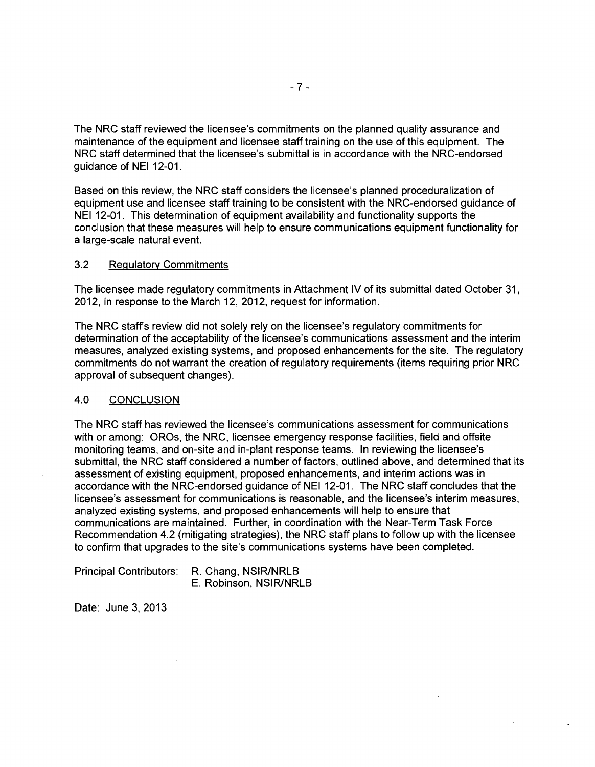The NRC staff reviewed the licensee's commitments on the planned quality assurance and maintenance of the equipment and licensee staff training on the use of this equipment. The NRC staff determined that the licensee's submittal is in accordance with the NRC-endorsed guidance of NEI 12-01.

Based on this review, the NRC staff considers the licensee's planned proceduralization of equipment use and licensee staff training to be consistent with the NRC-endorsed guidance of NEI 12-01. This determination of equipment availability and functionality supports the conclusion that these measures will help to ensure communications equipment functionality for a large-scale natural event.

#### 3.2 Regulatory Commitments

The licensee made regulatory commitments in Attachment IV of its submittal dated October 31, 2012, in response to the March 12, 2012, request for information.

The NRC staff's review did not solely rely on the licensee's regulatory commitments for determination of the acceptability of the licensee's communications assessment and the interim measures, analyzed existing systems, and proposed enhancements for the site. The regulatory commitments do not warrant the creation of regulatory requirements (items requiring prior NRC approval of subsequent changes).

#### 4.0 CONCLUSION

The NRC staff has reviewed the licensee's communications assessment for communications with or among: OROs, the NRC, licensee emergency response facilities, field and offsite monitoring teams, and on-site and in-plant response teams. In reviewing the licensee's submittal, the NRC staff considered a number of factors, outlined above, and determined that its assessment of existing equipment, proposed enhancements, and interim actions was in accordance with the NRC-endorsed guidance of NEI 12-01. The NRC staff concludes that the licensee's assessment for communications is reasonable, and the licensee's interim measures, analyzed existing systems, and proposed enhancements will help to ensure that communications are maintained. Further, in coordination with the Near-Term Task Force Recommendation 4.2 (mitigating strategies), the NRC staff plans to follow up with the licensee to confirm that upgrades to the site's communications systems have been completed.

| <b>Principal Contributors:</b> | R. Chang, NSIR/NRLB    |  |
|--------------------------------|------------------------|--|
|                                | E. Robinson, NSIR/NRLB |  |

Date: June 3, 2013